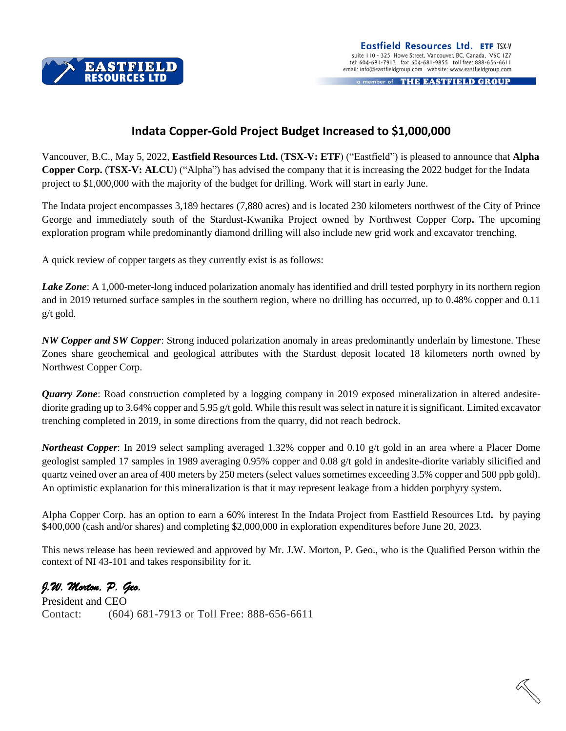

a member of THE EASTFIELD GROUP

## **Indata Copper-Gold Project Budget Increased to \$1,000,000**

Vancouver, B.C., May 5, 2022, **Eastfield Resources Ltd.** (**TSX-V: ETF**) ("Eastfield") is pleased to announce that **Alpha Copper Corp.** (**TSX-V: ALCU**) ("Alpha") has advised the company that it is increasing the 2022 budget for the Indata project to \$1,000,000 with the majority of the budget for drilling. Work will start in early June.

The Indata project encompasses 3,189 hectares (7,880 acres) and is located 230 kilometers northwest of the City of Prince George and immediately south of the Stardust-Kwanika Project owned by Northwest Copper Corp**.** The upcoming exploration program while predominantly diamond drilling will also include new grid work and excavator trenching.

A quick review of copper targets as they currently exist is as follows:

*Lake Zone*: A 1,000-meter-long induced polarization anomaly has identified and drill tested porphyry in its northern region and in 2019 returned surface samples in the southern region, where no drilling has occurred, up to 0.48% copper and 0.11 g/t gold.

*NW Copper and SW Copper*: Strong induced polarization anomaly in areas predominantly underlain by limestone. These Zones share geochemical and geological attributes with the Stardust deposit located 18 kilometers north owned by Northwest Copper Corp.

*Quarry Zone*: Road construction completed by a logging company in 2019 exposed mineralization in altered andesitediorite grading up to 3.64% copper and 5.95 g/t gold. While this result was select in nature it is significant. Limited excavator trenching completed in 2019, in some directions from the quarry, did not reach bedrock.

*Northeast Copper*: In 2019 select sampling averaged 1.32% copper and 0.10 g/t gold in an area where a Placer Dome geologist sampled 17 samples in 1989 averaging 0.95% copper and 0.08 g/t gold in andesite-diorite variably silicified and quartz veined over an area of 400 meters by 250 meters (select values sometimes exceeding 3.5% copper and 500 ppb gold). An optimistic explanation for this mineralization is that it may represent leakage from a hidden porphyry system.

Alpha Copper Corp. has an option to earn a 60% interest In the Indata Project from Eastfield Resources Ltd**.** by paying \$400,000 (cash and/or shares) and completing \$2,000,000 in exploration expenditures before June 20, 2023.

This news release has been reviewed and approved by Mr. J.W. Morton, P. Geo., who is the Qualified Person within the context of NI 43-101 and takes responsibility for it.

*J.W. Morton, P. Geo.*

President and CEO Contact: (604) 681-7913 or Toll Free: 888-656-6611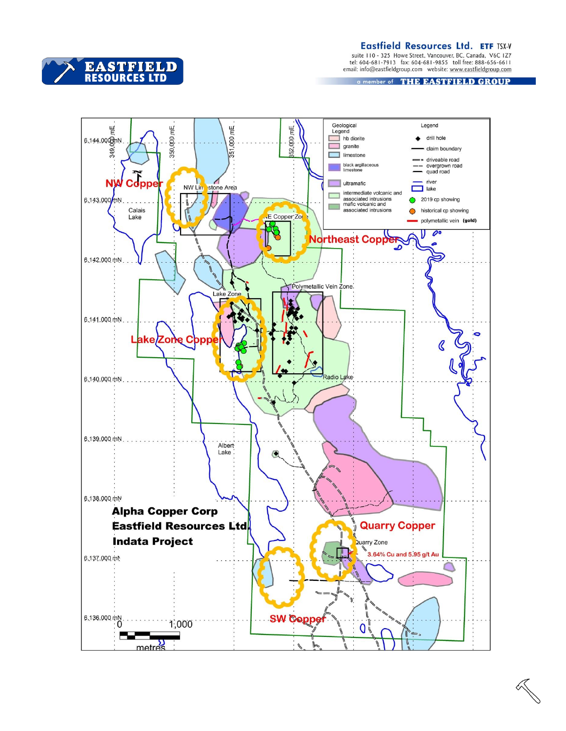Eastfield Resources Ltd. ETF TSX-V

suite 110 - 325 Howe Street, Vancouver, BC, Canada, V6C 1Z7<br>tel: 604-681-7913 fax: 604-681-9855 toll free: 888-656-6611<br>email: info@eastfieldgroup.com website: www.eastfieldgroup.com

a member of THE EASTFIELD GROUP



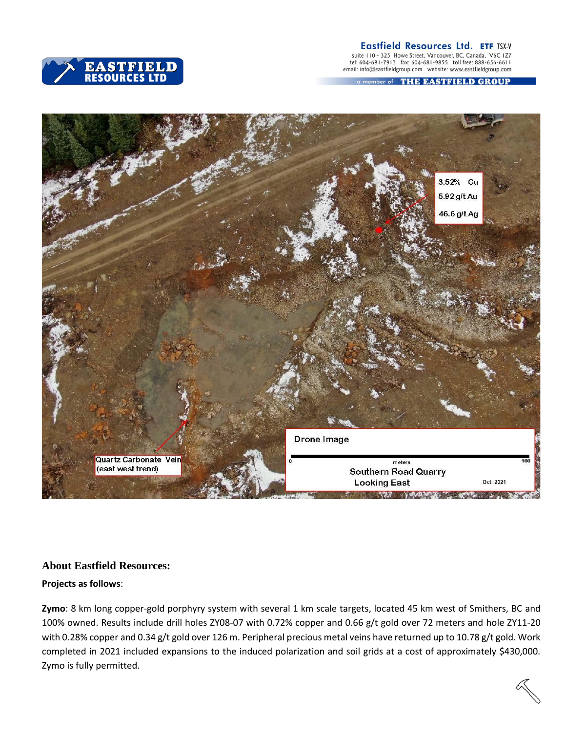



suite 110 - 325 Howe Street, Vancouver, BC, Canada, V6C 1Z7<br>tel: 604-681-7913 fax: 604-681-9855 toll free: 888-656-6611<br>email: info@eastfieldgroup.com website: www.eastfieldgroup.com

a member of THE EASTFIELD GROUP



## **About Eastfield Resources:**

## **Projects as follows**:

**Zymo**: 8 km long copper-gold porphyry system with several 1 km scale targets, located 45 km west of Smithers, BC and 100% owned. Results include drill holes ZY08-07 with 0.72% copper and 0.66 g/t gold over 72 meters and hole ZY11-20 with 0.28% copper and 0.34 g/t gold over 126 m. Peripheral precious metal veins have returned up to 10.78 g/t gold. Work completed in 2021 included expansions to the induced polarization and soil grids at a cost of approximately \$430,000. Zymo is fully permitted.